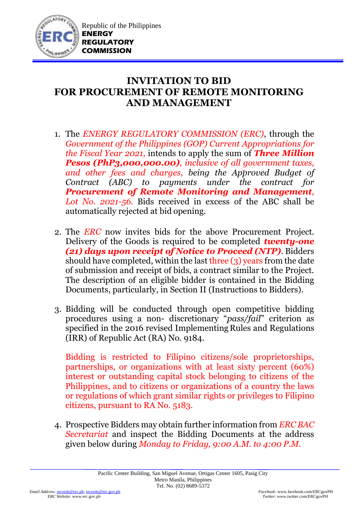

## **INVITATION TO BID FOR PROCUREMENT OF REMOTE MONITORING AND MANAGEMENT**

- 1. The *ENERGY REGULATORY COMMISSION (ERC)*, through the *Government of the Philippines (GOP) Current Appropriations for the Fiscal Year 2021,* intends to apply the sum of *Three Million Pesos (PhP3,000,000.00), inclusive of all government taxes, and other fees and charges, being the Approved Budget of Contract (ABC) to payments under the contract for Procurement of Remote Monitoring and Management, Lot No. 2021-56.* Bids received in excess of the ABC shall be automatically rejected at bid opening.
- 2. The *ERC* now invites bids for the above Procurement Project. Delivery of the Goods is required to be completed *twenty-one (21) days upon receipt of Notice to Proceed (NTP)*. Bidders should have completed, within the last three (3) years from the date of submission and receipt of bids, a contract similar to the Project. The description of an eligible bidder is contained in the Bidding Documents, particularly, in Section II (Instructions to Bidders).
- 3. Bidding will be conducted through open competitive bidding procedures using a non- discretionary "*pass/fail*" criterion as specified in the 2016 revised Implementing Rules and Regulations (IRR) of Republic Act (RA) No. 9184.

Bidding is restricted to Filipino citizens/sole proprietorships, partnerships, or organizations with at least sixty percent (60%) interest or outstanding capital stock belonging to citizens of the Philippines, and to citizens or organizations of a country the laws or regulations of which grant similar rights or privileges to Filipino citizens, pursuant to RA No. 5183.

4. Prospective Bidders may obtain further information from *ERC BAC Secretariat* and inspect the Bidding Documents at the address given below during *Monday to Friday, 9:00 A.M. to 4:00 P.M*.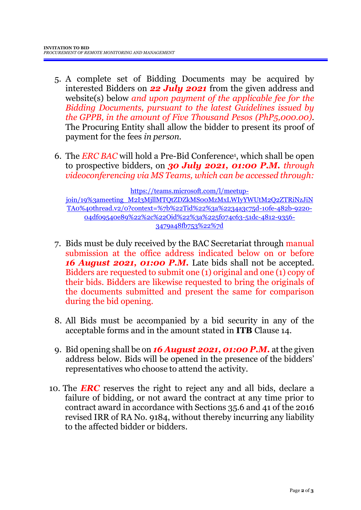- 5. A complete set of Bidding Documents may be acquired by interested Bidders on *22 July 2021* from the given address and website(s) below *and upon payment of the applicable fee for the Bidding Documents, pursuant to the latest Guidelines issued by the GPPB, in the amount of Five Thousand Pesos (PhP5,000.00)*. The Procuring Entity shall allow the bidder to present its proof of payment for the fees *in person.*
- 6. The *ERC BAC* will hold a Pre-Bid Conference<sup>1</sup> , which shall be open to prospective bidders, on *30 July 2021, 01:00 P.M. through videoconferencing via MS Teams, which can be accessed through:*

[https://teams.microsoft.com/l/meetup](https://teams.microsoft.com/l/meetup-join/19%3ameeting_M2I3MjllMTQtZDZkMS00MzMxLWIyYWUtM2Q2ZTRiNzJiNTA0%40thread.v2/0?context=%7b%22Tid%22%3a%2234a3c75d-10fe-482b-9220-04df09540e89%22%2c%22Oid%22%3a%225f074c63-51dc-4812-9356-3479a48fb753%22%7d)[join/19%3ameeting\\_M2I3MjllMTQtZDZkMS00MzMxLWIyYWUtM2Q2ZTRiNzJiN](https://teams.microsoft.com/l/meetup-join/19%3ameeting_M2I3MjllMTQtZDZkMS00MzMxLWIyYWUtM2Q2ZTRiNzJiNTA0%40thread.v2/0?context=%7b%22Tid%22%3a%2234a3c75d-10fe-482b-9220-04df09540e89%22%2c%22Oid%22%3a%225f074c63-51dc-4812-9356-3479a48fb753%22%7d) [TA0%40thread.v2/0?context=%7b%22Tid%22%3a%2234a3c75d-10fe-482b-9220-](https://teams.microsoft.com/l/meetup-join/19%3ameeting_M2I3MjllMTQtZDZkMS00MzMxLWIyYWUtM2Q2ZTRiNzJiNTA0%40thread.v2/0?context=%7b%22Tid%22%3a%2234a3c75d-10fe-482b-9220-04df09540e89%22%2c%22Oid%22%3a%225f074c63-51dc-4812-9356-3479a48fb753%22%7d) [04df09540e89%22%2c%22Oid%22%3a%225f074c63-51dc-4812-9356-](https://teams.microsoft.com/l/meetup-join/19%3ameeting_M2I3MjllMTQtZDZkMS00MzMxLWIyYWUtM2Q2ZTRiNzJiNTA0%40thread.v2/0?context=%7b%22Tid%22%3a%2234a3c75d-10fe-482b-9220-04df09540e89%22%2c%22Oid%22%3a%225f074c63-51dc-4812-9356-3479a48fb753%22%7d) [3479a48fb753%22%7d](https://teams.microsoft.com/l/meetup-join/19%3ameeting_M2I3MjllMTQtZDZkMS00MzMxLWIyYWUtM2Q2ZTRiNzJiNTA0%40thread.v2/0?context=%7b%22Tid%22%3a%2234a3c75d-10fe-482b-9220-04df09540e89%22%2c%22Oid%22%3a%225f074c63-51dc-4812-9356-3479a48fb753%22%7d)

- 7. Bids must be duly received by the BAC Secretariat through manual submission at the office address indicated below on or before *16 August 2021, 01:00 P.M.* Late bids shall not be accepted. Bidders are requested to submit one (1) original and one (1) copy of their bids. Bidders are likewise requested to bring the originals of the documents submitted and present the same for comparison during the bid opening.
- 8. All Bids must be accompanied by a bid security in any of the acceptable forms and in the amount stated in **ITB** Clause 14.
- 9. Bid opening shall be on *16 August 2021, 01:00 P.M.* at the given address below. Bids will be opened in the presence of the bidders' representatives who choose to attend the activity.
- 10. The *ERC* reserves the right to reject any and all bids, declare a failure of bidding, or not award the contract at any time prior to contract award in accordance with Sections 35.6 and 41 of the 2016 revised IRR of RA No. 9184, without thereby incurring any liability to the affected bidder or bidders.